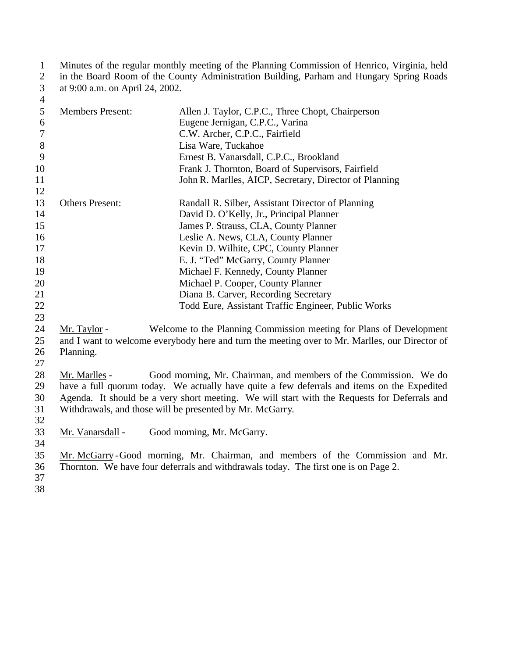1 Minutes of the regular monthly meeting of the Planning Commission of Henrico, Virginia, held<br>2 in the Board Room of the County Administration Building, Parham and Hungary Spring Roads in the Board Room of the County Administration Building, Parham and Hungary Spring Roads at 9:00 a.m. on April 24, 2002.  $\frac{3}{4}$ 

| $^{+}$         |                         |                                                                                                |
|----------------|-------------------------|------------------------------------------------------------------------------------------------|
| 5              | <b>Members Present:</b> | Allen J. Taylor, C.P.C., Three Chopt, Chairperson                                              |
| $6\,$          |                         | Eugene Jernigan, C.P.C., Varina                                                                |
| $\overline{7}$ |                         | C.W. Archer, C.P.C., Fairfield                                                                 |
| $8\,$          |                         | Lisa Ware, Tuckahoe                                                                            |
| 9              |                         | Ernest B. Vanarsdall, C.P.C., Brookland                                                        |
| 10             |                         | Frank J. Thornton, Board of Supervisors, Fairfield                                             |
| 11             |                         | John R. Marlles, AICP, Secretary, Director of Planning                                         |
| 12             |                         |                                                                                                |
| 13             | <b>Others Present:</b>  | Randall R. Silber, Assistant Director of Planning                                              |
| 14             |                         | David D. O'Kelly, Jr., Principal Planner                                                       |
| 15             |                         | James P. Strauss, CLA, County Planner                                                          |
| 16             |                         | Leslie A. News, CLA, County Planner                                                            |
| 17             |                         | Kevin D. Wilhite, CPC, County Planner                                                          |
| 18             |                         | E. J. "Ted" McGarry, County Planner                                                            |
| 19             |                         | Michael F. Kennedy, County Planner                                                             |
| 20             |                         | Michael P. Cooper, County Planner                                                              |
| 21             |                         | Diana B. Carver, Recording Secretary                                                           |
| 22             |                         | Todd Eure, Assistant Traffic Engineer, Public Works                                            |
| 23             |                         |                                                                                                |
| 24             | Mr. Taylor -            | Welcome to the Planning Commission meeting for Plans of Development                            |
| 25             |                         | and I want to welcome everybody here and turn the meeting over to Mr. Marlles, our Director of |
| 26             | Planning.               |                                                                                                |
| 27             |                         |                                                                                                |
| 28             | Mr. Marlles -           | Good morning, Mr. Chairman, and members of the Commission. We do                               |
| 29             |                         | have a full quorum today. We actually have quite a few deferrals and items on the Expedited    |
| 30             |                         | Agenda. It should be a very short meeting. We will start with the Requests for Deferrals and   |
| 31             |                         | Withdrawals, and those will be presented by Mr. McGarry.                                       |
| 32             |                         |                                                                                                |
| 33             | Mr. Vanarsdall -        | Good morning, Mr. McGarry.                                                                     |
| 34             |                         |                                                                                                |
| 35             |                         | Mr. McGarry-Good morning, Mr. Chairman, and members of the Commission and Mr.                  |
| 36             |                         | Thornton. We have four deferrals and withdrawals today. The first one is on Page 2.            |
| 37             |                         |                                                                                                |
|                |                         |                                                                                                |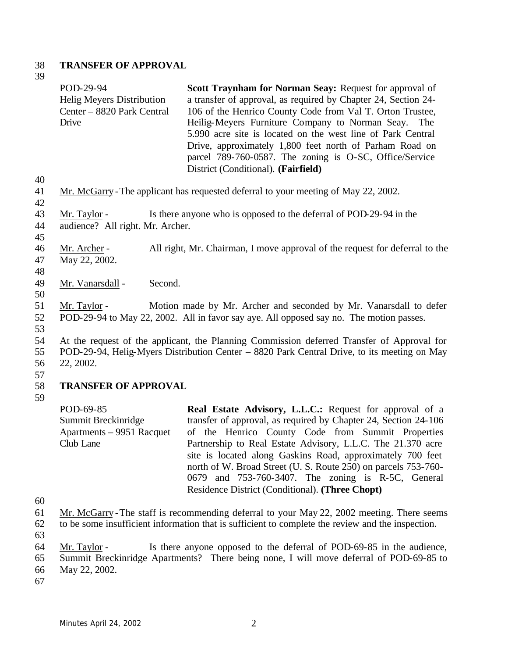#### 38 **TRANSFER OF APPROVAL**

- 39 POD-29-94 Helig Meyers Distribution Center – 8820 Park Central Drive **Scott Traynham for Norman Seay: Request for approval of** a transfer of approval, as required by Chapter 24, Section 24- 106 of the Henrico County Code from Val T. Orton Trustee, Heilig-Meyers Furniture Company to Norman Seay. The 5.990 acre site is located on the west line of Park Central Drive, approximately 1,800 feet north of Parham Road on parcel 789-760-0587. The zoning is O-SC, Office/Service District (Conditional). **(Fairfield)** 40 41 Mr. McGarry -The applicant has requested deferral to your meeting of May 22, 2002. 42 43 Mr. Taylor - Is there anyone who is opposed to the deferral of POD-29-94 in the 44 audience? All right. Mr. Archer. 45 46 Mr. Archer - All right, Mr. Chairman, I move approval of the request for deferral to the 47 May 22, 2002. 48 49 Mr. Vanarsdall - Second. 50 51 Mr. Taylor - Motion made by Mr. Archer and seconded by Mr. Vanarsdall to defer 52 POD-29-94 to May 22, 2002. All in favor say aye. All opposed say no. The motion passes. 53 54 At the request of the applicant, the Planning Commission deferred Transfer of Approval for 55 POD-29-94, Helig-Myers Distribution Center – 8820 Park Central Drive, to its meeting on May 56 22, 2002. 57 58 **TRANSFER OF APPROVAL** 59 POD-69-85 Summit Breckinridge Apartments – 9951 Racquet Club Lane **Real Estate Advisory, L.L.C.:** Request for approval of a transfer of approval, as required by Chapter 24, Section 24-106 of the Henrico County Code from Summit Properties Partnership to Real Estate Advisory, L.L.C. The 21.370 acre site is located along Gaskins Road, approximately 700 feet
- 60
- 61 Mr. McGarry -The staff is recommending deferral to your May 22, 2002 meeting. There seems

north of W. Broad Street (U. S. Route 250) on parcels 753-760- 0679 and 753-760-3407. The zoning is R-5C, General

Residence District (Conditional). **(Three Chopt)**

- 62 to be some insufficient information that is sufficient to complete the review and the inspection.
- 63
- 64 Mr. Taylor Is there anyone opposed to the deferral of POD-69-85 in the audience,
- 65 Summit Breckinridge Apartments? There being none, I will move deferral of POD-69-85 to
- 66 May 22, 2002.
- 67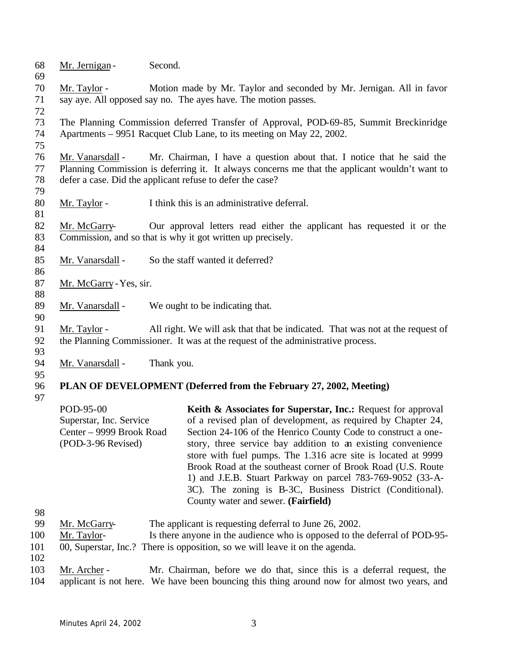The Planning Commission deferred Transfer of Approval, POD-69-85, Summit Breckinridge Apartments – 9951 Racquet Club Lane, to its meeting on May 22, 2002. Mr. Vanarsdall - Mr. Chairman, I have a question about that. I notice that he said the Planning Commission is deferring it. It always concerns me that the applicant wouldn't want to defer a case. Did the applicant refuse to defer the case? 80 Mr. Taylor - I think this is an administrative deferral. Mr. McGarry- Our approval letters read either the applicant has requested it or the Commission, and so that is why it got written up precisely. 85 Mr. Vanarsdall - So the staff wanted it deferred? Mr. McGarry -Yes, sir. 89 Mr. Vanarsdall - We ought to be indicating that. Mr. Taylor - All right. We will ask that that be indicated. That was not at the request of the Planning Commissioner. It was at the request of the administrative process. 94 Mr. Vanarsdall - Thank you. **PLAN OF DEVELOPMENT (Deferred from the February 27, 2002, Meeting)**  POD-95-00 Superstar, Inc. Service Center – 9999 Brook Road (POD-3-96 Revised) **Keith & Associates for Superstar, Inc.:** Request for approval of a revised plan of development, as required by Chapter 24, Section 24-106 of the Henrico County Code to construct a onestory, three service bay addition to an existing convenience store with fuel pumps. The 1.316 acre site is located at 9999 Brook Road at the southeast corner of Brook Road (U.S. Route 1) and J.E.B. Stuart Parkway on parcel 783-769-9052 (33-A-3C). The zoning is B-3C, Business District (Conditional). County water and sewer. **(Fairfield)** Mr. McGarry- The applicant is requesting deferral to June 26, 2002. Mr. Taylor- Is there anyone in the audience who is opposed to the deferral of POD-95- 00, Superstar, Inc.? There is opposition, so we will leave it on the agenda. Mr. Archer - Mr. Chairman, before we do that, since this is a deferral request, the applicant is not here. We have been bouncing this thing around now for almost two years, and

Mr. Taylor - Motion made by Mr. Taylor and seconded by Mr. Jernigan. All in favor

say aye. All opposed say no. The ayes have. The motion passes.

68 Mr. Jernigan - Second.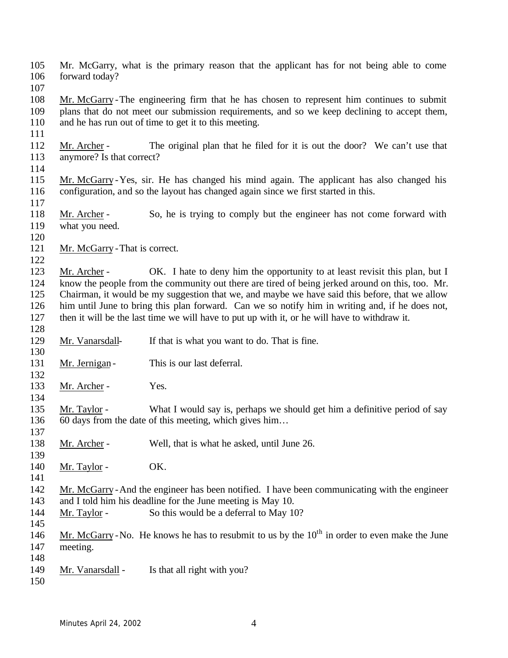- Mr. McGarry, what is the primary reason that the applicant has for not being able to come forward today?
- 
- Mr. McGarry -The engineering firm that he has chosen to represent him continues to submit plans that do not meet our submission requirements, and so we keep declining to accept them, and he has run out of time to get it to this meeting.
- Mr. Archer The original plan that he filed for it is out the door? We can't use that anymore? Is that correct?
- 

- Mr. McGarry -Yes, sir. He has changed his mind again. The applicant has also changed his configuration, and so the layout has changed again since we first started in this.
- 118 Mr. Archer So, he is trying to comply but the engineer has not come forward with what you need.
- 
- 121 Mr. McGarry That is correct.
- 
- 123 Mr. Archer OK. I hate to deny him the opportunity to at least revisit this plan, but I know the people from the community out there are tired of being jerked around on this, too. Mr. Chairman, it would be my suggestion that we, and maybe we have said this before, that we allow him until June to bring this plan forward. Can we so notify him in writing and, if he does not, then it will be the last time we will have to put up with it, or he will have to withdraw it.
- Mr. Vanarsdall- If that is what you want to do. That is fine.
- 131 Mr. Jernigan - This is our last deferral.
- 133 Mr. Archer - Yes.
- Mr. Taylor What I would say is, perhaps we should get him a definitive period of say 60 days from the date of this meeting, which gives him…
- Mr. Archer Well, that is what he asked, until June 26.
- 140 Mr. Taylor - OK.
- Mr. McGarry -And the engineer has been notified. I have been communicating with the engineer and I told him his deadline for the June meeting is May 10.
- 144 Mr. Taylor So this would be a deferral to May 10?
- 

- 146 Mr. McGarry No. He knows he has to resubmit to us by the  $10<sup>th</sup>$  in order to even make the June meeting.
- Mr. Vanarsdall - Is that all right with you?
-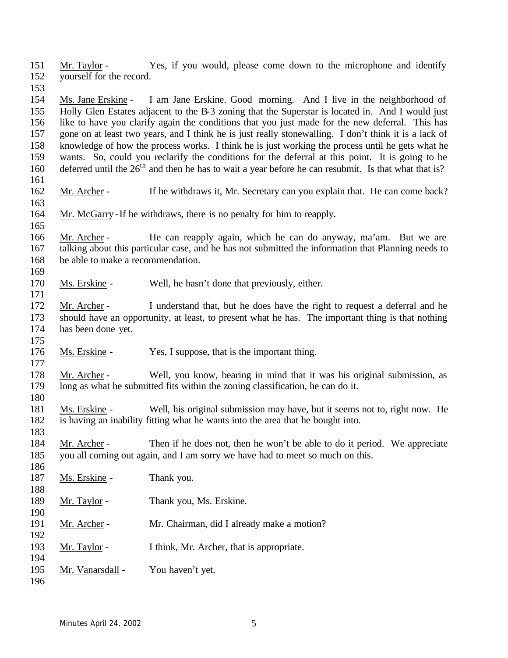Mr. Taylor - Yes, if you would, please come down to the microphone and identify yourself for the record.

 Ms. Jane Erskine - I am Jane Erskine. Good morning. And I live in the neighborhood of Holly Glen Estates adjacent to the B-3 zoning that the Superstar is located in. And I would just like to have you clarify again the conditions that you just made for the new deferral. This has gone on at least two years, and I think he is just really stonewalling. I don't think it is a lack of knowledge of how the process works. I think he is just working the process until he gets what he wants. So, could you reclarify the conditions for the deferral at this point. It is going to be 160 deferred until the  $26<sup>th</sup>$  and then he has to wait a year before he can resubmit. Is that what that is? 

- 162 Mr. Archer If he withdraws it, Mr. Secretary can you explain that. He can come back?
- Mr. McGarry -If he withdraws, there is no penalty for him to reapply.
- 

 Mr. Archer - He can reapply again, which he can do anyway, ma'am. But we are talking about this particular case, and he has not submitted the information that Planning needs to be able to make a recommendation.

Ms. Erskine - Well, he hasn't done that previously, either.

 Mr. Archer - I understand that, but he does have the right to request a deferral and he should have an opportunity, at least, to present what he has. The important thing is that nothing has been done yet.

176 Ms. Erskine - Yes, I suppose, that is the important thing.

 Mr. Archer - Well, you know, bearing in mind that it was his original submission, as long as what he submitted fits within the zoning classification, he can do it. 

- Ms. Erskine Well, his original submission may have, but it seems not to, right now. He is having an inability fitting what he wants into the area that he bought into.
- Mr. Archer Then if he does not, then he won't be able to do it period. We appreciate you all coming out again, and I am sorry we have had to meet so much on this.

| , , , |                  |                                            |
|-------|------------------|--------------------------------------------|
| 187   | Ms. Erskine -    | Thank you.                                 |
| 188   |                  |                                            |
| 189   | Mr. Taylor -     | Thank you, Ms. Erskine.                    |
| 190   |                  |                                            |
| 191   | Mr. Archer -     | Mr. Chairman, did I already make a motion? |
| 192   |                  |                                            |
| 193   | Mr. Taylor -     | I think, Mr. Archer, that is appropriate.  |
| 194   |                  |                                            |
| 195   | Mr. Vanarsdall - | You haven't yet.                           |
| 196   |                  |                                            |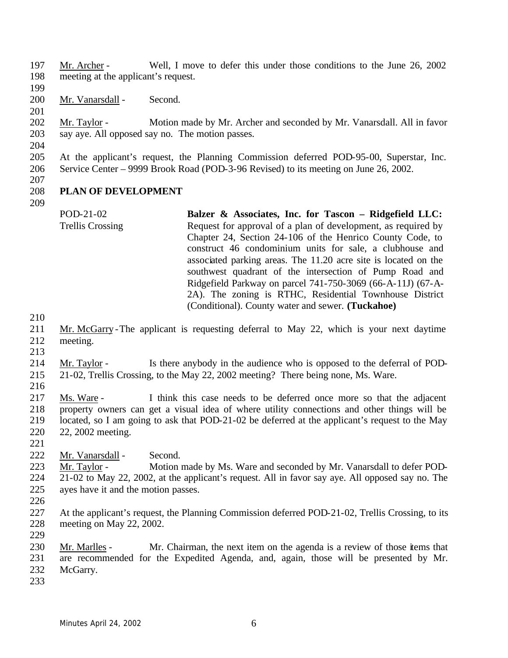- Mr. Archer Well, I move to defer this under those conditions to the June 26, 2002 meeting at the applicant's request.
- 
- 200 Mr. Vanarsdall Second.
- 
- 
- Mr. Taylor Motion made by Mr. Archer and seconded by Mr. Vanarsdall. All in favor say aye. All opposed say no. The motion passes.
- 
- At the applicant's request, the Planning Commission deferred POD-95-00, Superstar, Inc. Service Center – 9999 Brook Road (POD-3-96 Revised) to its meeting on June 26, 2002.
- 
- 

# **PLAN OF DEVELOPMENT**

- POD-21-02 Trellis Crossing **Balzer & Associates, Inc. for Tascon – Ridgefield LLC:**  Request for approval of a plan of development, as required by Chapter 24, Section 24-106 of the Henrico County Code, to construct 46 condominium units for sale, a clubhouse and associated parking areas. The 11.20 acre site is located on the southwest quadrant of the intersection of Pump Road and Ridgefield Parkway on parcel 741-750-3069 (66-A-11J) (67-A-2A). The zoning is RTHC, Residential Townhouse District (Conditional). County water and sewer. **(Tuckahoe)**
- 
- Mr. McGarry -The applicant is requesting deferral to May 22, which is your next daytime meeting.
- 
- Mr. Taylor Is there anybody in the audience who is opposed to the deferral of POD-21-02, Trellis Crossing, to the May 22, 2002 meeting? There being none, Ms. Ware.
- 

 Ms. Ware - I think this case needs to be deferred once more so that the adjacent property owners can get a visual idea of where utility connections and other things will be located, so I am going to ask that POD-21-02 be deferred at the applicant's request to the May 22, 2002 meeting.

- 
- 222 Mr. Vanarsdall Second.

 Mr. Taylor - Motion made by Ms. Ware and seconded by Mr. Vanarsdall to defer POD- 21-02 to May 22, 2002, at the applicant's request. All in favor say aye. All opposed say no. The ayes have it and the motion passes.

- 
- At the applicant's request, the Planning Commission deferred POD-21-02, Trellis Crossing, to its meeting on May 22, 2002.

 Mr. Marlles - Mr. Chairman, the next item on the agenda is a review of those items that are recommended for the Expedited Agenda, and, again, those will be presented by Mr. McGarry.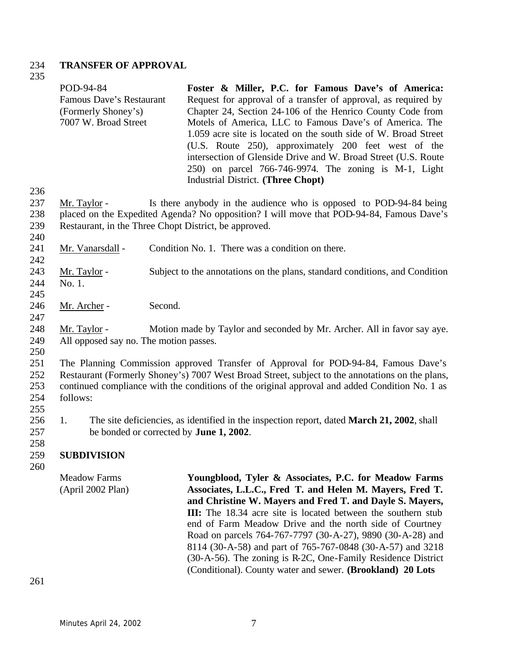#### 234 **TRANSFER OF APPROVAL**

235

236

242

247

|     | POD-94-84                                          | Foster & Miller, P.C. for Famous Dave's of America:                                      |
|-----|----------------------------------------------------|------------------------------------------------------------------------------------------|
|     | Famous Dave's Restaurant                           | Request for approval of a transfer of approval, as required by                           |
|     | (Formerly Shoney's)                                | Chapter 24, Section 24-106 of the Henrico County Code from                               |
|     | 7007 W. Broad Street                               | Motels of America, LLC to Famous Dave's of America. The                                  |
|     |                                                    | 1.059 acre site is located on the south side of W. Broad Street                          |
|     |                                                    | (U.S. Route 250), approximately 200 feet west of the                                     |
|     |                                                    | intersection of Glenside Drive and W. Broad Street (U.S. Route                           |
|     |                                                    | 250) on parcel 766-746-9974. The zoning is M-1, Light                                    |
|     |                                                    | <b>Industrial District.</b> (Three Chopt)                                                |
| 236 |                                                    |                                                                                          |
| 237 | Mr. Taylor -                                       | Is there anybody in the audience who is opposed to POD-94-84 being                       |
| 238 |                                                    | placed on the Expedited Agenda? No opposition? I will move that POD-94-84, Famous Dave's |
| າາດ | Destaurant in the Three Chapt District he engraved |                                                                                          |

- 239 Restaurant, in the Three Chopt District, be approved. 240
- 241 Mr. Vanarsdall Condition No. 1. There was a condition on there.
- 243 Mr. Taylor Subject to the annotations on the plans, standard conditions, and Condition 244 No. 1.
- 245
- 246 Mr. Archer Second.
- 248 Mr. Taylor Motion made by Taylor and seconded by Mr. Archer. All in favor say aye. 249 All opposed say no. The motion passes.
- 250

 The Planning Commission approved Transfer of Approval for POD-94-84, Famous Dave's Restaurant (Formerly Shoney's) 7007 West Broad Street, subject to the annotations on the plans, continued compliance with the conditions of the original approval and added Condition No. 1 as 254 follows:

- 255
- 256 1. The site deficiencies, as identified in the inspection report, dated **March 21, 2002**, shall 257 be bonded or corrected by **June 1, 2002**.

### 259 **SUBDIVISION**

260

258

Meadow Farms (April 2002 Plan) **Youngblood, Tyler & Associates, P.C. for Meadow Farms Associates, L.L.C., Fred T. and Helen M. Mayers, Fred T. and Christine W. Mayers and Fred T. and Dayle S. Mayers, III:** The 18.34 acre site is located between the southern stub end of Farm Meadow Drive and the north side of Courtney Road on parcels 764-767-7797 (30-A-27), 9890 (30-A-28) and 8114 (30-A-58) and part of 765-767-0848 (30-A-57) and 3218 (30-A-56). The zoning is R-2C, One-Family Residence District (Conditional). County water and sewer. **(Brookland) 20 Lots**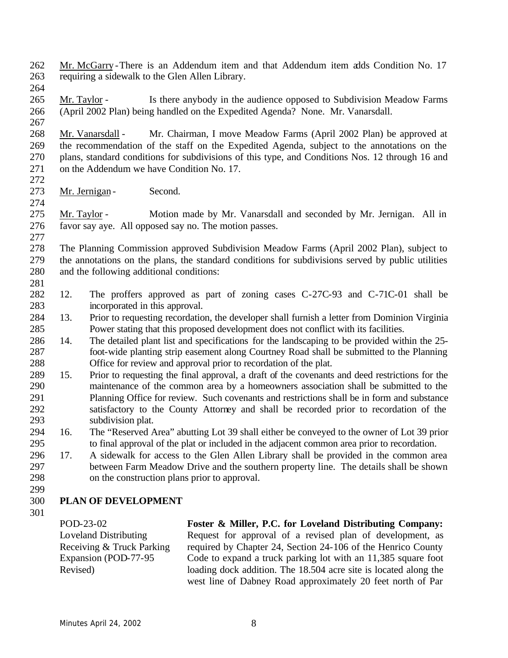- Mr. McGarry -There is an Addendum item and that Addendum item adds Condition No. 17 requiring a sidewalk to the Glen Allen Library.
- 

 Mr. Taylor - Is there anybody in the audience opposed to Subdivision Meadow Farms (April 2002 Plan) being handled on the Expedited Agenda? None. Mr. Vanarsdall.

 Mr. Vanarsdall - Mr. Chairman, I move Meadow Farms (April 2002 Plan) be approved at the recommendation of the staff on the Expedited Agenda, subject to the annotations on the plans, standard conditions for subdivisions of this type, and Conditions Nos. 12 through 16 and on the Addendum we have Condition No. 17.

273 Mr. Jernigan - Second.

 Mr. Taylor - Motion made by Mr. Vanarsdall and seconded by Mr. Jernigan. All in favor say aye. All opposed say no. The motion passes. 

 The Planning Commission approved Subdivision Meadow Farms (April 2002 Plan), subject to the annotations on the plans, the standard conditions for subdivisions served by public utilities and the following additional conditions: 

- 12. The proffers approved as part of zoning cases C-27C-93 and C-71C-01 shall be incorporated in this approval.
- 13. Prior to requesting recordation, the developer shall furnish a letter from Dominion Virginia Power stating that this proposed development does not conflict with its facilities.
- 14. The detailed plant list and specifications for the landscaping to be provided within the 25- foot-wide planting strip easement along Courtney Road shall be submitted to the Planning Office for review and approval prior to recordation of the plat.
- 15. Prior to requesting the final approval, a draft of the covenants and deed restrictions for the maintenance of the common area by a homeowners association shall be submitted to the Planning Office for review. Such covenants and restrictions shall be in form and substance satisfactory to the County Attorney and shall be recorded prior to recordation of the subdivision plat.
- 16. The "Reserved Area" abutting Lot 39 shall either be conveyed to the owner of Lot 39 prior to final approval of the plat or included in the adjacent common area prior to recordation.
- 17. A sidewalk for access to the Glen Allen Library shall be provided in the common area between Farm Meadow Drive and the southern property line. The details shall be shown on the construction plans prior to approval.
- 

# **PLAN OF DEVELOPMENT**

POD-23-02 Loveland Distributing Receiving & Truck Parking Expansion (POD-77-95 Revised)

**Foster & Miller, P.C. for Loveland Distributing Company:**  Request for approval of a revised plan of development, as required by Chapter 24, Section 24-106 of the Henrico County Code to expand a truck parking lot with an 11,385 square foot loading dock addition. The 18.504 acre site is located along the west line of Dabney Road approximately 20 feet north of Par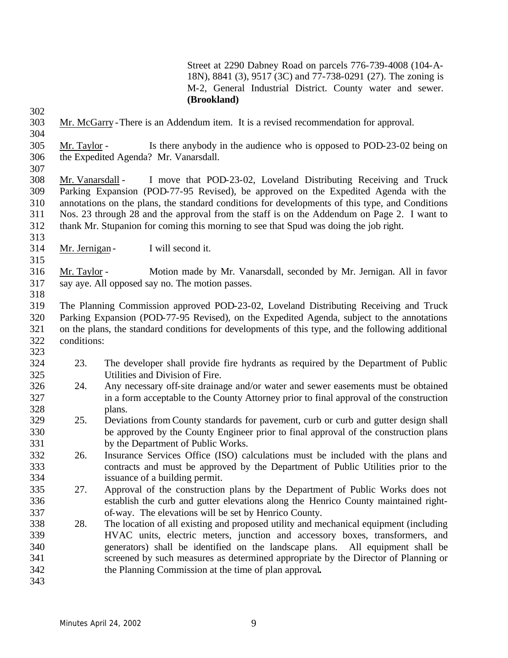Street at 2290 Dabney Road on parcels 776-739-4008 (104-A-18N), 8841 (3), 9517 (3C) and 77-738-0291 (27). The zoning is M-2, General Industrial District. County water and sewer. **(Brookland)**

- Mr. McGarry -There is an Addendum item. It is a revised recommendation for approval.
- Mr. Taylor Is there anybody in the audience who is opposed to POD-23-02 being on the Expedited Agenda? Mr. Vanarsdall.
- 

 Mr. Vanarsdall - I move that POD-23-02, Loveland Distributing Receiving and Truck Parking Expansion (POD-77-95 Revised), be approved on the Expedited Agenda with the annotations on the plans, the standard conditions for developments of this type, and Conditions Nos. 23 through 28 and the approval from the staff is on the Addendum on Page 2. I want to thank Mr. Stupanion for coming this morning to see that Spud was doing the job right.

- 314 Mr. Jernigan I will second it.
- Mr. Taylor Motion made by Mr. Vanarsdall, seconded by Mr. Jernigan. All in favor say aye. All opposed say no. The motion passes.
- The Planning Commission approved POD-23-02, Loveland Distributing Receiving and Truck Parking Expansion (POD-77-95 Revised), on the Expedited Agenda, subject to the annotations on the plans, the standard conditions for developments of this type, and the following additional conditions:
- 23. The developer shall provide fire hydrants as required by the Department of Public Utilities and Division of Fire.
- 24. Any necessary off-site drainage and/or water and sewer easements must be obtained in a form acceptable to the County Attorney prior to final approval of the construction plans.
- 25. Deviations from County standards for pavement, curb or curb and gutter design shall be approved by the County Engineer prior to final approval of the construction plans by the Department of Public Works.
- 26. Insurance Services Office (ISO) calculations must be included with the plans and contracts and must be approved by the Department of Public Utilities prior to the issuance of a building permit.
- 27. Approval of the construction plans by the Department of Public Works does not establish the curb and gutter elevations along the Henrico County maintained right-of-way. The elevations will be set by Henrico County.
- 28. The location of all existing and proposed utility and mechanical equipment (including HVAC units, electric meters, junction and accessory boxes, transformers, and generators) shall be identified on the landscape plans. All equipment shall be screened by such measures as determined appropriate by the Director of Planning or the Planning Commission at the time of plan approval**.**
-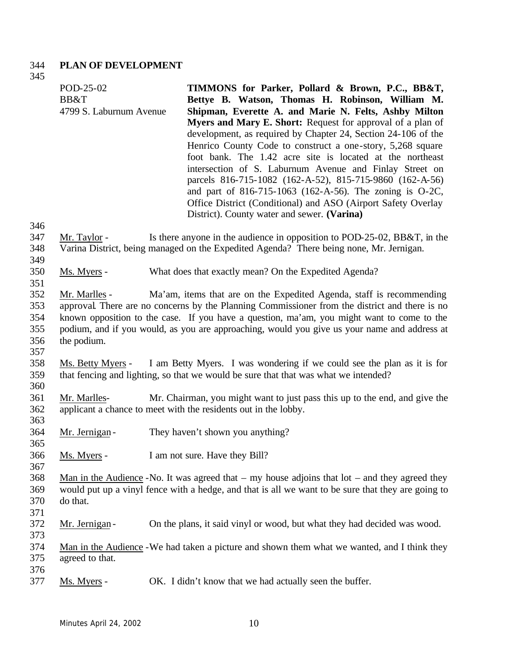### 344 **PLAN OF DEVELOPMENT**

POD-25-02

345

346<br>347

349<br>350

351

356 357

360

363

365

367

370 371

373

375

| BB&T                                                                                                                                                                                                                                                                                                                                                                                                 | Bettye B. Watson, Thomas H. Robinson, William M.<br>Shipman, Everette A. and Marie N. Felts, Ashby Milton<br>Myers and Mary E. Short: Request for approval of a plan of<br>development, as required by Chapter 24, Section 24-106 of the<br>Henrico County Code to construct a one-story, 5,268 square<br>foot bank. The 1.42 acre site is located at the northeast<br>intersection of S. Laburnum Avenue and Finlay Street on<br>parcels 816-715-1082 (162-A-52), 815-715-9860 (162-A-56)<br>and part of 816-715-1063 (162-A-56). The zoning is O-2C,<br>Office District (Conditional) and ASO (Airport Safety Overlay<br>District). County water and sewer. (Varina) |  |  |
|------------------------------------------------------------------------------------------------------------------------------------------------------------------------------------------------------------------------------------------------------------------------------------------------------------------------------------------------------------------------------------------------------|------------------------------------------------------------------------------------------------------------------------------------------------------------------------------------------------------------------------------------------------------------------------------------------------------------------------------------------------------------------------------------------------------------------------------------------------------------------------------------------------------------------------------------------------------------------------------------------------------------------------------------------------------------------------|--|--|
|                                                                                                                                                                                                                                                                                                                                                                                                      |                                                                                                                                                                                                                                                                                                                                                                                                                                                                                                                                                                                                                                                                        |  |  |
| Mr. Taylor -                                                                                                                                                                                                                                                                                                                                                                                         | Is there anyone in the audience in opposition to POD-25-02, BB&T, in the<br>Varina District, being managed on the Expedited Agenda? There being none, Mr. Jernigan.                                                                                                                                                                                                                                                                                                                                                                                                                                                                                                    |  |  |
| Ms. Myers -                                                                                                                                                                                                                                                                                                                                                                                          | What does that exactly mean? On the Expedited Agenda?                                                                                                                                                                                                                                                                                                                                                                                                                                                                                                                                                                                                                  |  |  |
| Ma'am, items that are on the Expedited Agenda, staff is recommending<br>Mr. Marlles -<br>approval. There are no concerns by the Planning Commissioner from the district and there is no<br>known opposition to the case. If you have a question, ma'am, you might want to come to the<br>podium, and if you would, as you are approaching, would you give us your name and address at<br>the podium. |                                                                                                                                                                                                                                                                                                                                                                                                                                                                                                                                                                                                                                                                        |  |  |
| Ms. Betty Myers -                                                                                                                                                                                                                                                                                                                                                                                    | I am Betty Myers. I was wondering if we could see the plan as it is for<br>that fencing and lighting, so that we would be sure that that was what we intended?                                                                                                                                                                                                                                                                                                                                                                                                                                                                                                         |  |  |
| Mr. Marlles-                                                                                                                                                                                                                                                                                                                                                                                         | Mr. Chairman, you might want to just pass this up to the end, and give the<br>applicant a chance to meet with the residents out in the lobby.                                                                                                                                                                                                                                                                                                                                                                                                                                                                                                                          |  |  |
| Mr. Jernigan-                                                                                                                                                                                                                                                                                                                                                                                        | They haven't shown you anything?                                                                                                                                                                                                                                                                                                                                                                                                                                                                                                                                                                                                                                       |  |  |
| Ms. Myers -                                                                                                                                                                                                                                                                                                                                                                                          | I am not sure. Have they Bill?                                                                                                                                                                                                                                                                                                                                                                                                                                                                                                                                                                                                                                         |  |  |
| do that.                                                                                                                                                                                                                                                                                                                                                                                             | Man in the Audience -No. It was agreed that $-$ my house adjoins that lot $-$ and they agreed they<br>would put up a vinyl fence with a hedge, and that is all we want to be sure that they are going to                                                                                                                                                                                                                                                                                                                                                                                                                                                               |  |  |
| Mr. Jernigan -                                                                                                                                                                                                                                                                                                                                                                                       | On the plans, it said vinyl or wood, but what they had decided was wood.                                                                                                                                                                                                                                                                                                                                                                                                                                                                                                                                                                                               |  |  |
| agreed to that.                                                                                                                                                                                                                                                                                                                                                                                      | Man in the Audience - We had taken a picture and shown them what we wanted, and I think they                                                                                                                                                                                                                                                                                                                                                                                                                                                                                                                                                                           |  |  |
|                                                                                                                                                                                                                                                                                                                                                                                                      | 4799 S. Laburnum Avenue                                                                                                                                                                                                                                                                                                                                                                                                                                                                                                                                                                                                                                                |  |  |

**TIMMONS for Parker, Pollard & Brown, P.C., BB&T,**

376<br>377 Ms. Myers - OK. I didn't know that we had actually seen the buffer.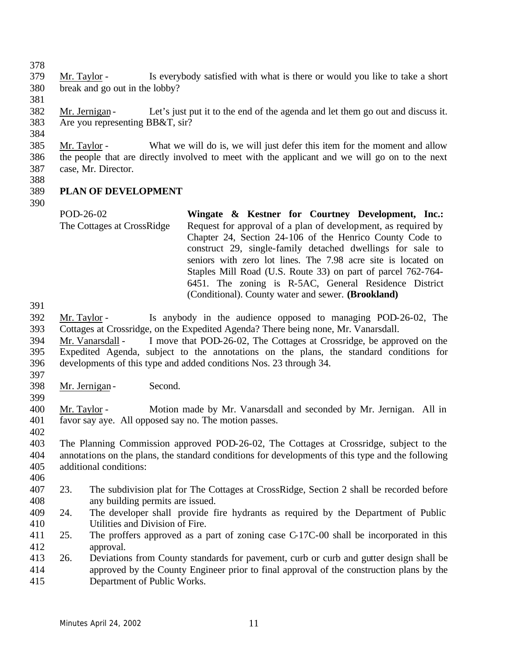- Mr. Taylor Is everybody satisfied with what is there or would you like to take a short break and go out in the lobby?
- Mr. Jernigan Let's just put it to the end of the agenda and let them go out and discuss it. Are you representing BB&T, sir?
- Mr. Taylor What we will do is, we will just defer this item for the moment and allow the people that are directly involved to meet with the applicant and we will go on to the next case, Mr. Director.
- 

## **PLAN OF DEVELOPMENT**

- - POD-26-02 The Cottages at CrossRidge **Wingate & Kestner for Courtney Development, Inc.:** Request for approval of a plan of development, as required by Chapter 24, Section 24-106 of the Henrico County Code to construct 29, single-family detached dwellings for sale to seniors with zero lot lines. The 7.98 acre site is located on Staples Mill Road (U.S. Route 33) on part of parcel 762-764- 6451. The zoning is R-5AC, General Residence District (Conditional). County water and sewer. **(Brookland)**
- 
- Mr. Taylor Is anybody in the audience opposed to managing POD-26-02, The Cottages at Crossridge, on the Expedited Agenda? There being none, Mr. Vanarsdall.
- Mr. Vanarsdall I move that POD-26-02, The Cottages at Crossridge, be approved on the Expedited Agenda, subject to the annotations on the plans, the standard conditions for developments of this type and added conditions Nos. 23 through 34.
- 
- Mr. Jernigan Second.
- 
- 
- Mr. Taylor Motion made by Mr. Vanarsdall and seconded by Mr. Jernigan. All in favor say aye. All opposed say no. The motion passes.
- 

 The Planning Commission approved POD-26-02, The Cottages at Crossridge, subject to the annotations on the plans, the standard conditions for developments of this type and the following additional conditions: 

- 23. The subdivision plat for The Cottages at CrossRidge, Section 2 shall be recorded before any building permits are issued.
- 24. The developer shall provide fire hydrants as required by the Department of Public Utilities and Division of Fire.
- 25. The proffers approved as a part of zoning case C-17C-00 shall be incorporated in this approval.
- 26. Deviations from County standards for pavement, curb or curb and gutter design shall be approved by the County Engineer prior to final approval of the construction plans by the Department of Public Works.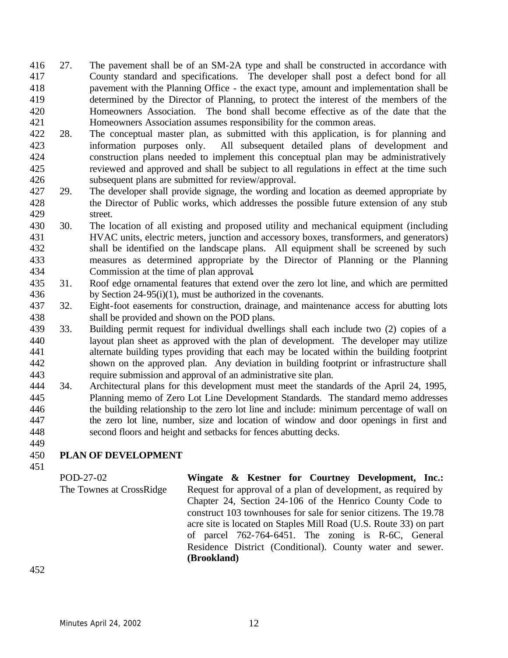- 27. The pavement shall be of an SM-2A type and shall be constructed in accordance with County standard and specifications. The developer shall post a defect bond for all pavement with the Planning Office - the exact type, amount and implementation shall be determined by the Director of Planning, to protect the interest of the members of the Homeowners Association. The bond shall become effective as of the date that the Homeowners Association assumes responsibility for the common areas.
- 28. The conceptual master plan, as submitted with this application, is for planning and information purposes only. All subsequent detailed plans of development and construction plans needed to implement this conceptual plan may be administratively reviewed and approved and shall be subject to all regulations in effect at the time such subsequent plans are submitted for review/approval.
- 29. The developer shall provide signage, the wording and location as deemed appropriate by the Director of Public works, which addresses the possible future extension of any stub street.
- 30. The location of all existing and proposed utility and mechanical equipment (including HVAC units, electric meters, junction and accessory boxes, transformers, and generators) shall be identified on the landscape plans. All equipment shall be screened by such measures as determined appropriate by the Director of Planning or the Planning Commission at the time of plan approval**.**
- 31. Roof edge ornamental features that extend over the zero lot line, and which are permitted by Section 24-95(i)(1), must be authorized in the covenants.
- 32. Eight-foot easements for construction, drainage, and maintenance access for abutting lots shall be provided and shown on the POD plans.
- 33. Building permit request for individual dwellings shall each include two (2) copies of a layout plan sheet as approved with the plan of development. The developer may utilize alternate building types providing that each may be located within the building footprint shown on the approved plan. Any deviation in building footprint or infrastructure shall require submission and approval of an administrative site plan.
- 34. Architectural plans for this development must meet the standards of the April 24, 1995, Planning memo of Zero Lot Line Development Standards. The standard memo addresses the building relationship to the zero lot line and include: minimum percentage of wall on the zero lot line, number, size and location of window and door openings in first and second floors and height and setbacks for fences abutting decks.

# **PLAN OF DEVELOPMENT**

POD-27-02 The Townes at CrossRidge **Wingate & Kestner for Courtney Development, Inc.:** Request for approval of a plan of development, as required by Chapter 24, Section 24-106 of the Henrico County Code to construct 103 townhouses for sale for senior citizens. The 19.78 acre site is located on Staples Mill Road (U.S. Route 33) on part of parcel 762-764-6451. The zoning is R-6C, General Residence District (Conditional). County water and sewer. **(Brookland)**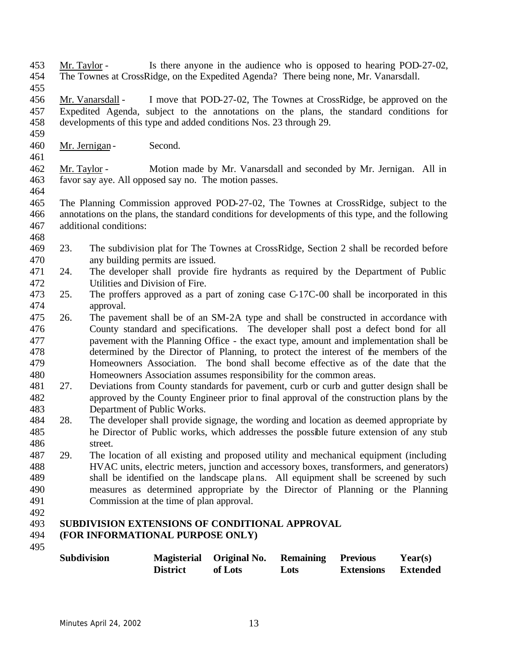- Mr. Taylor Is there anyone in the audience who is opposed to hearing POD-27-02, The Townes at CrossRidge, on the Expedited Agenda? There being none, Mr. Vanarsdall.
- 

- Mr. Vanarsdall I move that POD-27-02, The Townes at CrossRidge, be approved on the Expedited Agenda, subject to the annotations on the plans, the standard conditions for developments of this type and added conditions Nos. 23 through 29.
- 460 Mr. Jernigan Second.
- Mr. Taylor Motion made by Mr. Vanarsdall and seconded by Mr. Jernigan. All in favor say aye. All opposed say no. The motion passes.
- 
- The Planning Commission approved POD-27-02, The Townes at CrossRidge, subject to the annotations on the plans, the standard conditions for developments of this type, and the following additional conditions:
- 
- 23. The subdivision plat for The Townes at CrossRidge, Section 2 shall be recorded before any building permits are issued.
- 24. The developer shall provide fire hydrants as required by the Department of Public Utilities and Division of Fire.
- 25. The proffers approved as a part of zoning case C-17C-00 shall be incorporated in this approval.
- 26. The pavement shall be of an SM-2A type and shall be constructed in accordance with County standard and specifications. The developer shall post a defect bond for all pavement with the Planning Office - the exact type, amount and implementation shall be determined by the Director of Planning, to protect the interest of the members of the Homeowners Association. The bond shall become effective as of the date that the Homeowners Association assumes responsibility for the common areas.
- 27. Deviations from County standards for pavement, curb or curb and gutter design shall be approved by the County Engineer prior to final approval of the construction plans by the Department of Public Works.
- 28. The developer shall provide signage, the wording and location as deemed appropriate by he Director of Public works, which addresses the possible future extension of any stub street.
- 29. The location of all existing and proposed utility and mechanical equipment (including HVAC units, electric meters, junction and accessory boxes, transformers, and generators) shall be identified on the landscape plans. All equipment shall be screened by such measures as determined appropriate by the Director of Planning or the Planning Commission at the time of plan approval.
- 

### **SUBDIVISION EXTENSIONS OF CONDITIONAL APPROVAL (FOR INFORMATIONAL PURPOSE ONLY)**

| <b>Subdivision</b> |                 | Magisterial Original No. | <b>Remaining</b> | Previous          | Year(s)         |
|--------------------|-----------------|--------------------------|------------------|-------------------|-----------------|
|                    | <b>District</b> | of Lots                  | Lots             | <b>Extensions</b> | <b>Extended</b> |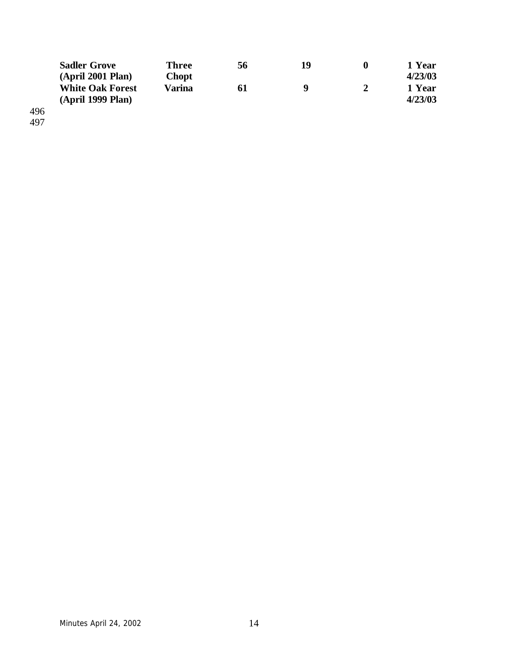|     | <b>Sadler Grove</b>     | <b>Three</b> | 56 | 19 | 1 Year  |
|-----|-------------------------|--------------|----|----|---------|
|     | (April 2001 Plan)       | <b>Chopt</b> |    |    | 4/23/03 |
|     | <b>White Oak Forest</b> | Varina       | 61 | q  | 1 Year  |
|     | (April 1999 Plan)       |              |    |    | 4/23/03 |
| 496 |                         |              |    |    |         |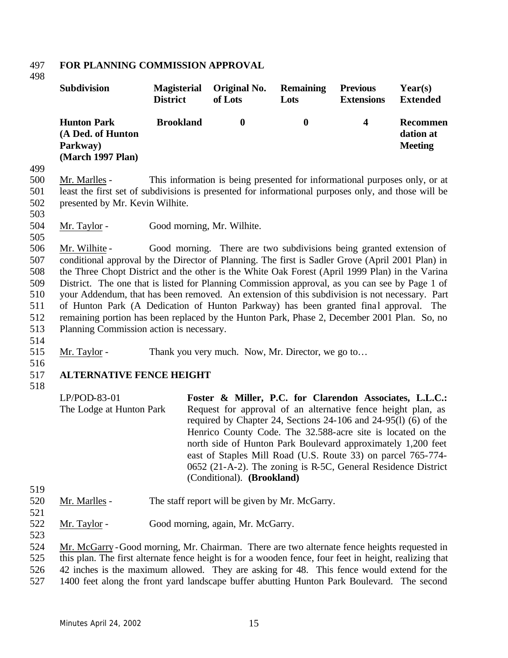#### 497 **FOR PLANNING COMMISSION APPROVAL**

498

| <b>Subdivision</b>                                                       | <b>Magisterial</b> | Original No. | <b>Remaining</b> | <b>Previous</b>   | Year(s)                                 |
|--------------------------------------------------------------------------|--------------------|--------------|------------------|-------------------|-----------------------------------------|
|                                                                          | <b>District</b>    | of Lots      | Lots             | <b>Extensions</b> | <b>Extended</b>                         |
| <b>Hunton Park</b><br>(A Ded. of Hunton<br>Parkway)<br>(March 1997 Plan) | <b>Brookland</b>   |              | $\bf{0}$         | 4                 | Recommen<br>dation at<br><b>Meeting</b> |

499

500 Mr. Marlles - This information is being presented for informational purposes only, or at 501 least the first set of subdivisions is presented for informational purposes only, and those will be 502 presented by Mr. Kevin Wilhite.

503

505

504 Mr. Taylor - Good morning, Mr. Wilhite.

 Mr. Wilhite - Good morning. There are two subdivisions being granted extension of conditional approval by the Director of Planning. The first is Sadler Grove (April 2001 Plan) in the Three Chopt District and the other is the White Oak Forest (April 1999 Plan) in the Varina District. The one that is listed for Planning Commission approval, as you can see by Page 1 of your Addendum, that has been removed. An extension of this subdivision is not necessary. Part 511 of Hunton Park (A Dedication of Hunton Parkway) has been granted final approval. The remaining portion has been replaced by the Hunton Park, Phase 2, December 2001 Plan. So, no Planning Commission action is necessary.

- 514
- 515 Mr. Taylor Thank you very much. Now, Mr. Director, we go to...
- 516

517 **ALTERNATIVE FENCE HEIGHT** 

518

- 520 Mr. Marlles The staff report will be given by Mr. McGarry.
- 521

519

- 522 Mr. Taylor Good morning, again, Mr. McGarry.
- 523

524 Mr. McGarry -Good morning, Mr. Chairman. There are two alternate fence heights requested in 525 this plan. The first alternate fence height is for a wooden fence, four feet in height, realizing that 526 42 inches is the maximum allowed. They are asking for 48. This fence would extend for the

527 1400 feet along the front yard landscape buffer abutting Hunton Park Boulevard. The second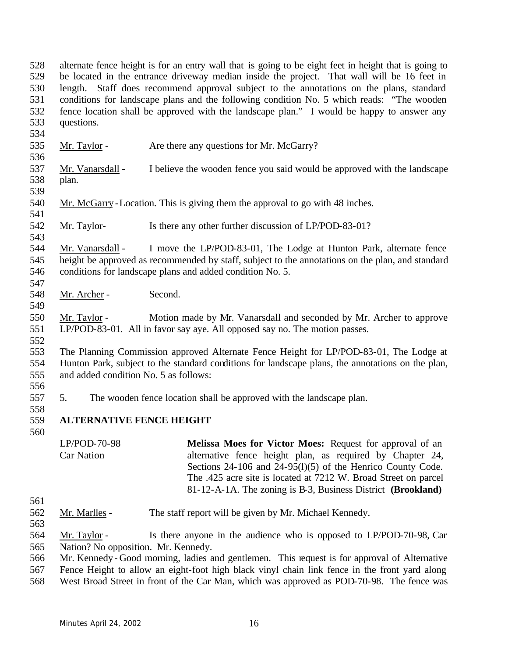alternate fence height is for an entry wall that is going to be eight feet in height that is going to be located in the entrance driveway median inside the project. That wall will be 16 feet in length. Staff does recommend approval subject to the annotations on the plans, standard conditions for landscape plans and the following condition No. 5 which reads: "The wooden fence location shall be approved with the landscape plan." I would be happy to answer any questions.

- 535 Mr. Taylor Are there any questions for Mr. McGarry?
- Mr. Vanarsdall I believe the wooden fence you said would be approved with the landscape plan.
- 

- Mr. McGarry -Location. This is giving them the approval to go with 48 inches.
- Mr. Taylor- Is there any other further discussion of LP/POD-83-01?

 Mr. Vanarsdall - I move the LP/POD-83-01, The Lodge at Hunton Park, alternate fence height be approved as recommended by staff, subject to the annotations on the plan, and standard conditions for landscape plans and added condition No. 5.

548 Mr. Archer - Second.

 Mr. Taylor - Motion made by Mr. Vanarsdall and seconded by Mr. Archer to approve LP/POD-83-01. All in favor say aye. All opposed say no. The motion passes.

 The Planning Commission approved Alternate Fence Height for LP/POD-83-01, The Lodge at Hunton Park, subject to the standard conditions for landscape plans, the annotations on the plan, and added condition No. 5 as follows:

5. The wooden fence location shall be approved with the landscape plan.

### **ALTERNATIVE FENCE HEIGHT**

LP/POD-70-98 Car Nation **Melissa Moes for Victor Moes:** Request for approval of an alternative fence height plan, as required by Chapter 24, Sections 24-106 and 24-95(1)(5) of the Henrico County Code. The .425 acre site is located at 7212 W. Broad Street on parcel 81-12-A-1A. The zoning is B-3, Business District **(Brookland)**

- 
- Mr. Marlles The staff report will be given by Mr. Michael Kennedy.
- 

 Mr. Taylor - Is there anyone in the audience who is opposed to LP/POD-70-98, Car Nation? No opposition. Mr. Kennedy.

- Mr. Kennedy Good morning, ladies and gentlemen. This request is for approval of Alternative
- Fence Height to allow an eight-foot high black vinyl chain link fence in the front yard along
- West Broad Street in front of the Car Man, which was approved as POD-70-98. The fence was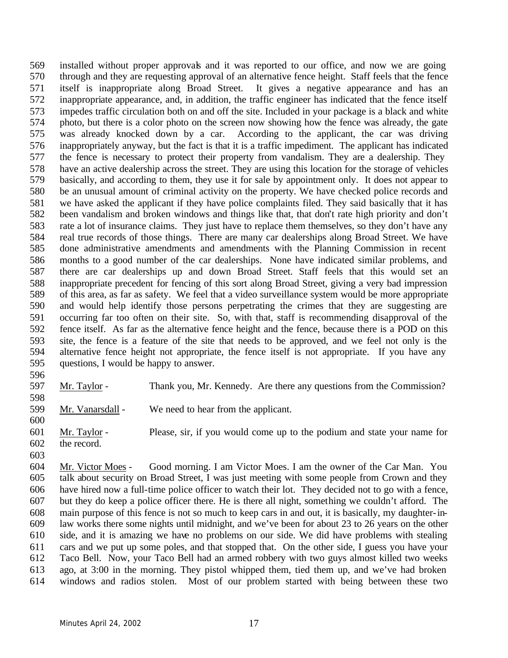installed without proper approvals and it was reported to our office, and now we are going through and they are requesting approval of an alternative fence height. Staff feels that the fence itself is inappropriate along Broad Street. It gives a negative appearance and has an inappropriate appearance, and, in addition, the traffic engineer has indicated that the fence itself impedes traffic circulation both on and off the site. Included in your package is a black and white photo, but there is a color photo on the screen now showing how the fence was already, the gate was already knocked down by a car. According to the applicant, the car was driving inappropriately anyway, but the fact is that it is a traffic impediment. The applicant has indicated the fence is necessary to protect their property from vandalism. They are a dealership. They have an active dealership across the street. They are using this location for the storage of vehicles basically, and according to them, they use it for sale by appointment only. It does not appear to be an unusual amount of criminal activity on the property. We have checked police records and we have asked the applicant if they have police complaints filed. They said basically that it has been vandalism and broken windows and things like that, that don't rate high priority and don't rate a lot of insurance claims. They just have to replace them themselves, so they don't have any real true records of those things. There are many car dealerships along Broad Street. We have done administrative amendments and amendments with the Planning Commission in recent months to a good number of the car dealerships. None have indicated similar problems, and there are car dealerships up and down Broad Street. Staff feels that this would set an inappropriate precedent for fencing of this sort along Broad Street, giving a very bad impression of this area, as far as safety. We feel that a video surveillance system would be more appropriate and would help identify those persons perpetrating the crimes that they are suggesting are occurring far too often on their site. So, with that, staff is recommending disapproval of the fence itself. As far as the alternative fence height and the fence, because there is a POD on this site, the fence is a feature of the site that needs to be approved, and we feel not only is the alternative fence height not appropriate, the fence itself is not appropriate. If you have any questions, I would be happy to answer.

Mr. Taylor - Thank you, Mr. Kennedy. Are there any questions from the Commission?

 Mr. Vanarsdall - We need to hear from the applicant. 

 Mr. Taylor - Please, sir, if you would come up to the podium and state your name for the record.

 Mr. Victor Moes - Good morning. I am Victor Moes. I am the owner of the Car Man. You talk about security on Broad Street, I was just meeting with some people from Crown and they have hired now a full-time police officer to watch their lot. They decided not to go with a fence, but they do keep a police officer there. He is there all night, something we couldn't afford. The main purpose of this fence is not so much to keep cars in and out, it is basically, my daughter-in- law works there some nights until midnight, and we've been for about 23 to 26 years on the other side, and it is amazing we have no problems on our side. We did have problems with stealing cars and we put up some poles, and that stopped that. On the other side, I guess you have your Taco Bell. Now, your Taco Bell had an armed robbery with two guys almost killed two weeks ago, at 3:00 in the morning. They pistol whipped them, tied them up, and we've had broken windows and radios stolen. Most of our problem started with being between these two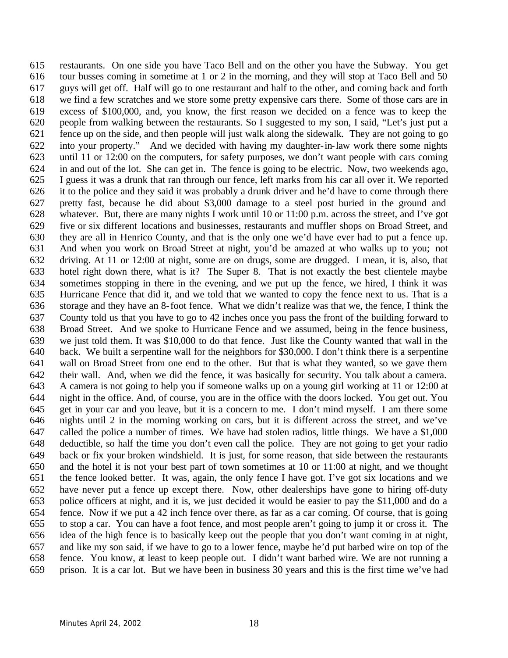restaurants. On one side you have Taco Bell and on the other you have the Subway. You get tour busses coming in sometime at 1 or 2 in the morning, and they will stop at Taco Bell and 50 guys will get off. Half will go to one restaurant and half to the other, and coming back and forth we find a few scratches and we store some pretty expensive cars there. Some of those cars are in excess of \$100,000, and, you know, the first reason we decided on a fence was to keep the people from walking between the restaurants. So I suggested to my son, I said, "Let's just put a fence up on the side, and then people will just walk along the sidewalk. They are not going to go into your property." And we decided with having my daughter-in-law work there some nights until 11 or 12:00 on the computers, for safety purposes, we don't want people with cars coming in and out of the lot. She can get in. The fence is going to be electric. Now, two weekends ago, I guess it was a drunk that ran through our fence, left marks from his car all over it. We reported it to the police and they said it was probably a drunk driver and he'd have to come through there pretty fast, because he did about \$3,000 damage to a steel post buried in the ground and whatever. But, there are many nights I work until 10 or 11:00 p.m. across the street, and I've got five or six different locations and businesses, restaurants and muffler shops on Broad Street, and they are all in Henrico County, and that is the only one we'd have ever had to put a fence up. And when you work on Broad Street at night, you'd be amazed at who walks up to you; not driving. At 11 or 12:00 at night, some are on drugs, some are drugged. I mean, it is, also, that hotel right down there, what is it? The Super 8. That is not exactly the best clientele maybe sometimes stopping in there in the evening, and we put up the fence, we hired, I think it was Hurricane Fence that did it, and we told that we wanted to copy the fence next to us. That is a storage and they have an 8-foot fence. What we didn't realize was that we, the fence, I think the County told us that you have to go to 42 inches once you pass the front of the building forward to Broad Street. And we spoke to Hurricane Fence and we assumed, being in the fence business, we just told them. It was \$10,000 to do that fence. Just like the County wanted that wall in the back. We built a serpentine wall for the neighbors for \$30,000. I don't think there is a serpentine wall on Broad Street from one end to the other. But that is what they wanted, so we gave them their wall. And, when we did the fence, it was basically for security. You talk about a camera. A camera is not going to help you if someone walks up on a young girl working at 11 or 12:00 at night in the office. And, of course, you are in the office with the doors locked. You get out. You get in your car and you leave, but it is a concern to me. I don't mind myself. I am there some nights until 2 in the morning working on cars, but it is different across the street, and we've called the police a number of times. We have had stolen radios, little things. We have a \$1,000 deductible, so half the time you don't even call the police. They are not going to get your radio back or fix your broken windshield. It is just, for some reason, that side between the restaurants and the hotel it is not your best part of town sometimes at 10 or 11:00 at night, and we thought the fence looked better. It was, again, the only fence I have got. I've got six locations and we have never put a fence up except there. Now, other dealerships have gone to hiring off-duty police officers at night, and it is, we just decided it would be easier to pay the \$11,000 and do a fence. Now if we put a 42 inch fence over there, as far as a car coming. Of course, that is going to stop a car. You can have a foot fence, and most people aren't going to jump it or cross it. The idea of the high fence is to basically keep out the people that you don't want coming in at night, and like my son said, if we have to go to a lower fence, maybe he'd put barbed wire on top of the fence. You know, at least to keep people out. I didn't want barbed wire. We are not running a prison. It is a car lot. But we have been in business 30 years and this is the first time we've had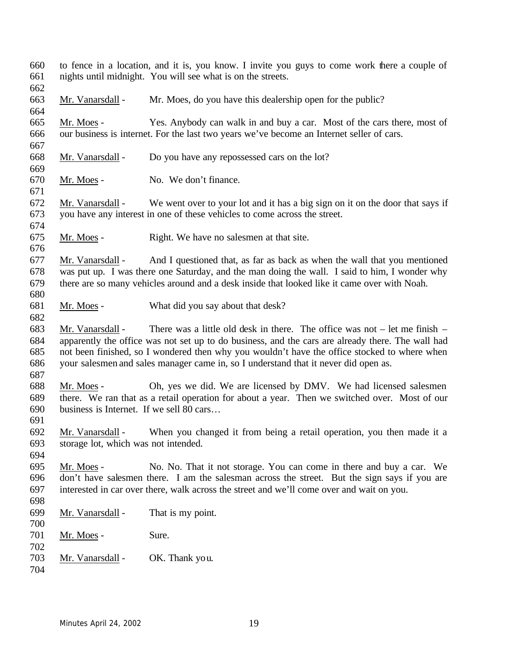to fence in a location, and it is, you know. I invite you guys to come work there a couple of nights until midnight. You will see what is on the streets. Mr. Vanarsdall - Mr. Moes, do you have this dealership open for the public? Mr. Moes - Yes. Anybody can walk in and buy a car. Most of the cars there, most of our business is internet. For the last two years we've become an Internet seller of cars. Mr. Vanarsdall - Do you have any repossessed cars on the lot? Mr. Moes - No. We don't finance. Mr. Vanarsdall - We went over to your lot and it has a big sign on it on the door that says if you have any interest in one of these vehicles to come across the street. Mr. Moes - Right. We have no salesmen at that site. Mr. Vanarsdall - And I questioned that, as far as back as when the wall that you mentioned was put up. I was there one Saturday, and the man doing the wall. I said to him, I wonder why there are so many vehicles around and a desk inside that looked like it came over with Noah. Mr. Moes - What did you say about that desk? Mr. Vanarsdall - There was a little old desk in there. The office was not – let me finish – apparently the office was not set up to do business, and the cars are already there. The wall had not been finished, so I wondered then why you wouldn't have the office stocked to where when your salesmen and sales manager came in, so I understand that it never did open as. Mr. Moes - Oh, yes we did. We are licensed by DMV. We had licensed salesmen there. We ran that as a retail operation for about a year. Then we switched over. Most of our business is Internet. If we sell 80 cars… Mr. Vanarsdall - When you changed it from being a retail operation, you then made it a storage lot, which was not intended. Mr. Moes - No. No. That it not storage. You can come in there and buy a car. We don't have salesmen there. I am the salesman across the street. But the sign says if you are interested in car over there, walk across the street and we'll come over and wait on you. Mr. Vanarsdall - That is my point. 701 Mr. Moes - Sure. 703 Mr. Vanarsdall - OK. Thank you.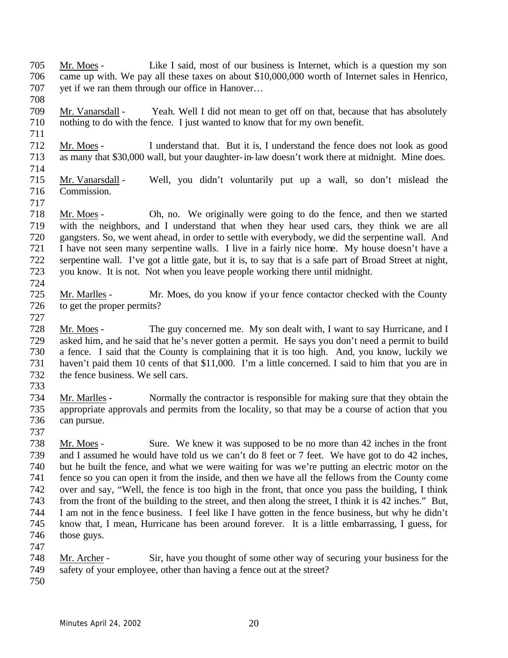- Mr. Moes Like I said, most of our business is Internet, which is a question my son came up with. We pay all these taxes on about \$10,000,000 worth of Internet sales in Henrico, yet if we ran them through our office in Hanover…
- Mr. Vanarsdall Yeah. Well I did not mean to get off on that, because that has absolutely nothing to do with the fence. I just wanted to know that for my own benefit.
- Mr. Moes I understand that. But it is, I understand the fence does not look as good as many that \$30,000 wall, but your daughter-in-law doesn't work there at midnight. Mine does.
- 

- Mr. Vanarsdall Well, you didn't voluntarily put up a wall, so don't mislead the Commission.
- Mr. Moes Oh, no. We originally were going to do the fence, and then we started with the neighbors, and I understand that when they hear used cars, they think we are all gangsters. So, we went ahead, in order to settle with everybody, we did the serpentine wall. And I have not seen many serpentine walls. I live in a fairly nice home. My house doesn't have a serpentine wall. I've got a little gate, but it is, to say that is a safe part of Broad Street at night, you know. It is not. Not when you leave people working there until midnight.
- 

- Mr. Marlles Mr. Moes, do you know if your fence contactor checked with the County to get the proper permits?
- Mr. Moes The guy concerned me. My son dealt with, I want to say Hurricane, and I asked him, and he said that he's never gotten a permit. He says you don't need a permit to build a fence. I said that the County is complaining that it is too high. And, you know, luckily we haven't paid them 10 cents of that \$11,000. I'm a little concerned. I said to him that you are in the fence business. We sell cars.
- 
- Mr. Marlles Normally the contractor is responsible for making sure that they obtain the appropriate approvals and permits from the locality, so that may be a course of action that you can pursue.
- 
- Mr. Moes Sure. We knew it was supposed to be no more than 42 inches in the front and I assumed he would have told us we can't do 8 feet or 7 feet. We have got to do 42 inches, but he built the fence, and what we were waiting for was we're putting an electric motor on the fence so you can open it from the inside, and then we have all the fellows from the County come over and say, "Well, the fence is too high in the front, that once you pass the building, I think from the front of the building to the street, and then along the street, I think it is 42 inches." But, I am not in the fence business. I feel like I have gotten in the fence business, but why he didn't know that, I mean, Hurricane has been around forever. It is a little embarrassing, I guess, for 746 those guys.
- Mr. Archer Sir, have you thought of some other way of securing your business for the
- safety of your employee, other than having a fence out at the street?
-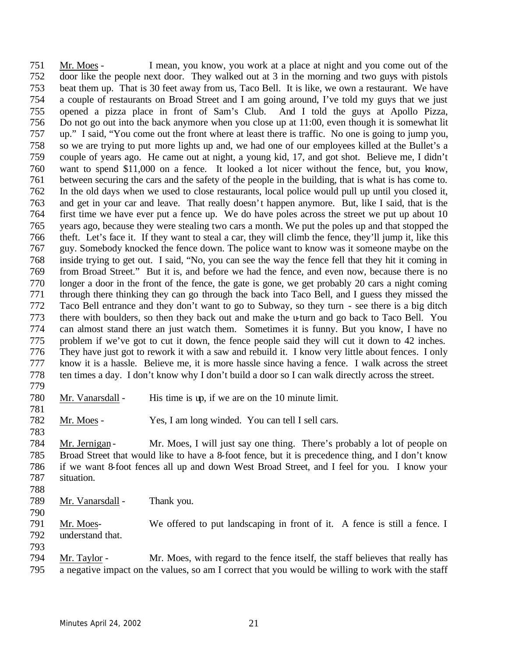Mr. Moes - I mean, you know, you work at a place at night and you come out of the door like the people next door. They walked out at 3 in the morning and two guys with pistols beat them up. That is 30 feet away from us, Taco Bell. It is like, we own a restaurant. We have a couple of restaurants on Broad Street and I am going around, I've told my guys that we just opened a pizza place in front of Sam's Club. And I told the guys at Apollo Pizza, Do not go out into the back anymore when you close up at 11:00, even though it is somewhat lit up." I said, "You come out the front where at least there is traffic. No one is going to jump you, so we are trying to put more lights up and, we had one of our employees killed at the Bullet's a couple of years ago. He came out at night, a young kid, 17, and got shot. Believe me, I didn't want to spend \$11,000 on a fence. It looked a lot nicer without the fence, but, you know, between securing the cars and the safety of the people in the building, that is what is has come to. In the old days when we used to close restaurants, local police would pull up until you closed it, and get in your car and leave. That really doesn't happen anymore. But, like I said, that is the first time we have ever put a fence up. We do have poles across the street we put up about 10 years ago, because they were stealing two cars a month. We put the poles up and that stopped the theft. Let's face it. If they want to steal a car, they will climb the fence, they'll jump it, like this guy. Somebody knocked the fence down. The police want to know was it someone maybe on the inside trying to get out. I said, "No, you can see the way the fence fell that they hit it coming in from Broad Street." But it is, and before we had the fence, and even now, because there is no longer a door in the front of the fence, the gate is gone, we get probably 20 cars a night coming through there thinking they can go through the back into Taco Bell, and I guess they missed the Taco Bell entrance and they don't want to go to Subway, so they turn - see there is a big ditch there with boulders, so then they back out and make the u-turn and go back to Taco Bell. You can almost stand there an just watch them. Sometimes it is funny. But you know, I have no problem if we've got to cut it down, the fence people said they will cut it down to 42 inches. They have just got to rework it with a saw and rebuild it. I know very little about fences. I only know it is a hassle. Believe me, it is more hassle since having a fence. I walk across the street ten times a day. I don't know why I don't build a door so I can walk directly across the street. 

- Mr. Vanarsdall His time is up, if we are on the 10 minute limit.
- Mr. Moes Yes, I am long winded. You can tell I sell cars.
- 784 Mr. Jernigan - Mr. Moes, I will just say one thing. There's probably a lot of people on Broad Street that would like to have a 8-foot fence, but it is precedence thing, and I don't know if we want 8-foot fences all up and down West Broad Street, and I feel for you. I know your situation.
- 

- Mr. Vanarsdall Thank you.
- 791 Mr. Moes-<br>We offered to put landscaping in front of it. A fence is still a fence. I<br>792 understand that. understand that.
	-
	- Mr. Taylor Mr. Moes, with regard to the fence itself, the staff believes that really has a negative impact on the values, so am I correct that you would be willing to work with the staff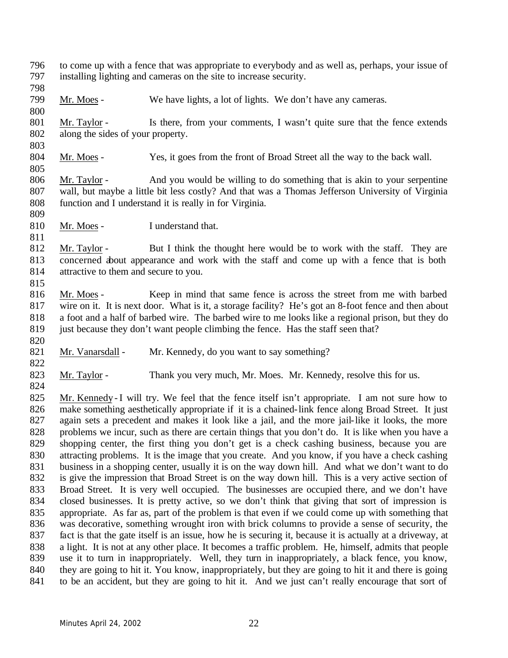- to come up with a fence that was appropriate to everybody and as well as, perhaps, your issue of installing lighting and cameras on the site to increase security.
- 

- Mr. Moes We have lights, a lot of lights. We don't have any cameras.
- 801 Mr. Taylor Is there, from your comments, I wasn't quite sure that the fence extends along the sides of your property.
- 

Mr. Moes - Yes, it goes from the front of Broad Street all the way to the back wall.

- Mr. Taylor And you would be willing to do something that is akin to your serpentine wall, but maybe a little bit less costly? And that was a Thomas Jefferson University of Virginia function and I understand it is really in for Virginia.
- 

810 Mr. Moes - I understand that.

- 812 Mr. Taylor But I think the thought here would be to work with the staff. They are concerned about appearance and work with the staff and come up with a fence that is both attractive to them and secure to you.
- Mr. Moes Keep in mind that same fence is across the street from me with barbed wire on it. It is next door. What is it, a storage facility? He's got an 8-foot fence and then about a foot and a half of barbed wire. The barbed wire to me looks like a regional prison, but they do 819 just because they don't want people climbing the fence. Has the staff seen that?
- 821 Mr. Vanarsdall Mr. Kennedy, do you want to say something?
- 823 Mr. Taylor Thank you very much, Mr. Moes. Mr. Kennedy, resolve this for us.
- 825 Mr. Kennedy I will try. We feel that the fence itself isn't appropriate. I am not sure how to make something aesthetically appropriate if it is a chained-link fence along Broad Street. It just again sets a precedent and makes it look like a jail, and the more jail-like it looks, the more problems we incur, such as there are certain things that you don't do. It is like when you have a shopping center, the first thing you don't get is a check cashing business, because you are attracting problems. It is the image that you create. And you know, if you have a check cashing business in a shopping center, usually it is on the way down hill. And what we don't want to do is give the impression that Broad Street is on the way down hill. This is a very active section of Broad Street. It is very well occupied. The businesses are occupied there, and we don't have closed businesses. It is pretty active, so we don't think that giving that sort of impression is appropriate. As far as, part of the problem is that even if we could come up with something that was decorative, something wrought iron with brick columns to provide a sense of security, the fact is that the gate itself is an issue, how he is securing it, because it is actually at a driveway, at a light. It is not at any other place. It becomes a traffic problem. He, himself, admits that people use it to turn in inappropriately. Well, they turn in inappropriately, a black fence, you know, they are going to hit it. You know, inappropriately, but they are going to hit it and there is going to be an accident, but they are going to hit it. And we just can't really encourage that sort of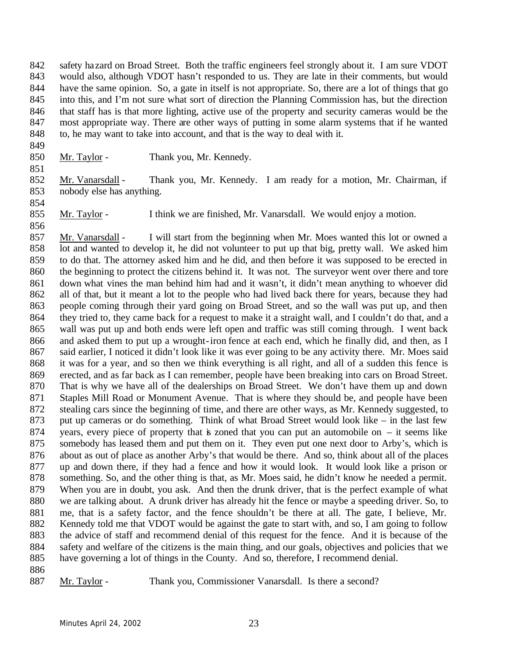safety hazard on Broad Street. Both the traffic engineers feel strongly about it. I am sure VDOT would also, although VDOT hasn't responded to us. They are late in their comments, but would have the same opinion. So, a gate in itself is not appropriate. So, there are a lot of things that go into this, and I'm not sure what sort of direction the Planning Commission has, but the direction that staff has is that more lighting, active use of the property and security cameras would be the most appropriate way. There are other ways of putting in some alarm systems that if he wanted to, he may want to take into account, and that is the way to deal with it.

850 Mr. Taylor - Thank you, Mr. Kennedy.

 Mr. Vanarsdall - Thank you, Mr. Kennedy. I am ready for a motion, Mr. Chairman, if nobody else has anything.

Mr. Taylor - I think we are finished, Mr. Vanarsdall. We would enjoy a motion.

 857 Mr. Vanarsdall - I will start from the beginning when Mr. Moes wanted this lot or owned a lot and wanted to develop it, he did not volunteer to put up that big, pretty wall. We asked him to do that. The attorney asked him and he did, and then before it was supposed to be erected in the beginning to protect the citizens behind it. It was not. The surveyor went over there and tore down what vines the man behind him had and it wasn't, it didn't mean anything to whoever did all of that, but it meant a lot to the people who had lived back there for years, because they had people coming through their yard going on Broad Street, and so the wall was put up, and then 864 they tried to, they came back for a request to make it a straight wall, and I couldn't do that, and a wall was put up and both ends were left open and traffic was still coming through. I went back and asked them to put up a wrought-iron fence at each end, which he finally did, and then, as I 867 said earlier, I noticed it didn't look like it was ever going to be any activity there. Mr. Moes said it was for a year, and so then we think everything is all right, and all of a sudden this fence is erected, and as far back as I can remember, people have been breaking into cars on Broad Street. That is why we have all of the dealerships on Broad Street. We don't have them up and down Staples Mill Road or Monument Avenue. That is where they should be, and people have been stealing cars since the beginning of time, and there are other ways, as Mr. Kennedy suggested, to put up cameras or do something. Think of what Broad Street would look like – in the last few 874 years, every piece of property that is zoned that you can put an automobile on  $-$  it seems like somebody has leased them and put them on it. They even put one next door to Arby's, which is about as out of place as another Arby's that would be there. And so, think about all of the places up and down there, if they had a fence and how it would look. It would look like a prison or something. So, and the other thing is that, as Mr. Moes said, he didn't know he needed a permit. When you are in doubt, you ask. And then the drunk driver, that is the perfect example of what we are talking about. A drunk driver has already hit the fence or maybe a speeding driver. So, to me, that is a safety factor, and the fence shouldn't be there at all. The gate, I believe, Mr. 882 Kennedy told me that VDOT would be against the gate to start with, and so, I am going to follow the advice of staff and recommend denial of this request for the fence. And it is because of the safety and welfare of the citizens is the main thing, and our goals, objectives and policies that we have governing a lot of things in the County. And so, therefore, I recommend denial.

887 Mr. Taylor - Thank you, Commissioner Vanarsdall. Is there a second?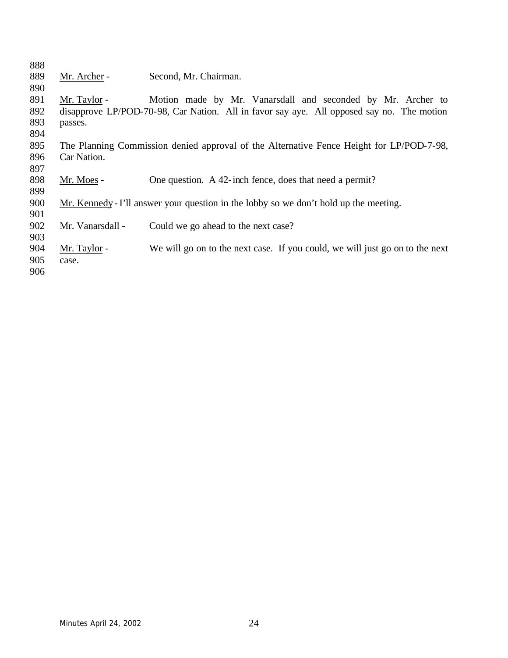| 888 |                  |                                                                                           |
|-----|------------------|-------------------------------------------------------------------------------------------|
| 889 | Mr. Archer -     | Second, Mr. Chairman.                                                                     |
| 890 |                  |                                                                                           |
| 891 | Mr. Taylor -     | Motion made by Mr. Vanarsdall and seconded by Mr. Archer to                               |
| 892 |                  | disapprove LP/POD-70-98, Car Nation. All in favor say aye. All opposed say no. The motion |
| 893 | passes.          |                                                                                           |
| 894 |                  |                                                                                           |
| 895 |                  | The Planning Commission denied approval of the Alternative Fence Height for LP/POD-7-98,  |
| 896 | Car Nation.      |                                                                                           |
| 897 |                  |                                                                                           |
| 898 | Mr. Moes -       | One question. A 42-inch fence, does that need a permit?                                   |
| 899 |                  |                                                                                           |
| 900 |                  | Mr. Kennedy - I'll answer your question in the lobby so we don't hold up the meeting.     |
| 901 |                  |                                                                                           |
| 902 | Mr. Vanarsdall - | Could we go ahead to the next case?                                                       |
| 903 |                  |                                                                                           |
| 904 | Mr. Taylor -     | We will go on to the next case. If you could, we will just go on to the next              |
| 905 | case.            |                                                                                           |
| 906 |                  |                                                                                           |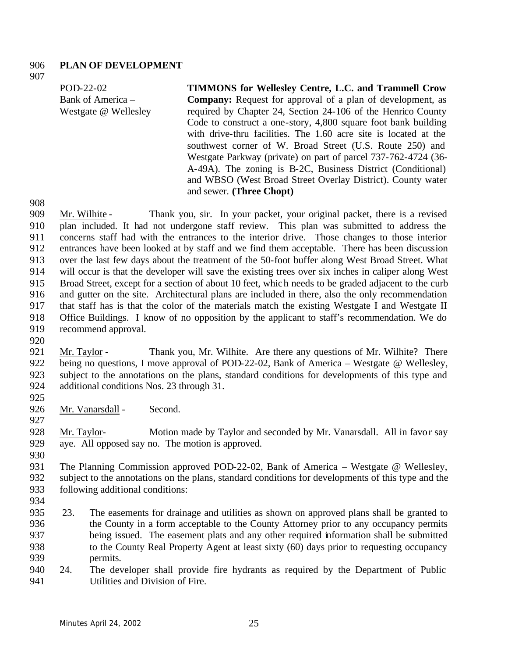### **PLAN OF DEVELOPMENT**

POD-22-02 Bank of America – Westgate @ Wellesley **TIMMONS for Wellesley Centre, L.C. and Trammell Crow Company:** Request for approval of a plan of development, as required by Chapter 24, Section 24-106 of the Henrico County Code to construct a one-story, 4,800 square foot bank building with drive-thru facilities. The 1.60 acre site is located at the southwest corner of W. Broad Street (U.S. Route 250) and Westgate Parkway (private) on part of parcel 737-762-4724 (36- A-49A). The zoning is B-2C, Business District (Conditional) and WBSO (West Broad Street Overlay District). County water and sewer. **(Three Chopt)**

 Mr. Wilhite - Thank you, sir. In your packet, your original packet, there is a revised plan included. It had not undergone staff review. This plan was submitted to address the concerns staff had with the entrances to the interior drive. Those changes to those interior entrances have been looked at by staff and we find them acceptable. There has been discussion over the last few days about the treatment of the 50-foot buffer along West Broad Street. What will occur is that the developer will save the existing trees over six inches in caliper along West Broad Street, except for a section of about 10 feet, which needs to be graded adjacent to the curb and gutter on the site. Architectural plans are included in there, also the only recommendation that staff has is that the color of the materials match the existing Westgate I and Westgate II Office Buildings. I know of no opposition by the applicant to staff's recommendation. We do recommend approval.

921 Mr. Taylor - Thank you, Mr. Wilhite. Are there any questions of Mr. Wilhite? There being no questions, I move approval of POD-22-02, Bank of America – Westgate @ Wellesley, subject to the annotations on the plans, standard conditions for developments of this type and additional conditions Nos. 23 through 31.

926 Mr. Vanarsdall - Second.

 Mr. Taylor- Motion made by Taylor and seconded by Mr. Vanarsdall. All in favor say aye. All opposed say no. The motion is approved.

931 The Planning Commission approved POD-22-02, Bank of America – Westgate @ Wellesley, subject to the annotations on the plans, standard conditions for developments of this type and the following additional conditions:

- 
- 935 23. The easements for drainage and utilities as shown on approved plans shall be granted to the County in a form acceptable to the County Attorney prior to any occupancy permits being issued. The easement plats and any other required information shall be submitted to the County Real Property Agent at least sixty (60) days prior to requesting occupancy permits.
- 24. The developer shall provide fire hydrants as required by the Department of Public Utilities and Division of Fire.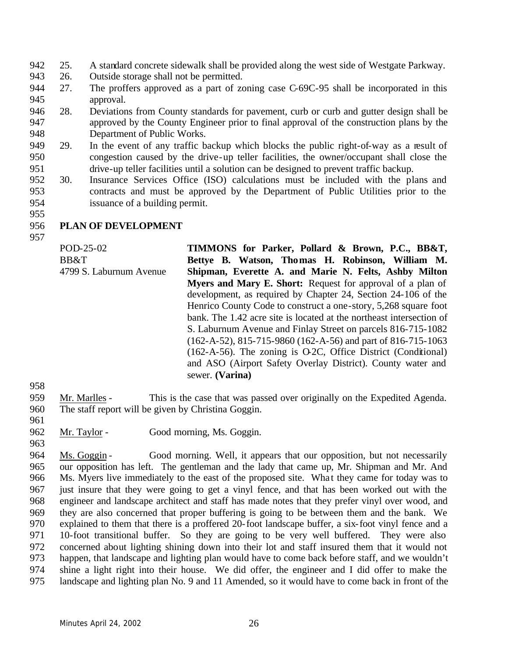- 25. A standard concrete sidewalk shall be provided along the west side of Westgate Parkway.
- 26. Outside storage shall not be permitted.
- 27. The proffers approved as a part of zoning case C-69C-95 shall be incorporated in this approval.
- 28. Deviations from County standards for pavement, curb or curb and gutter design shall be approved by the County Engineer prior to final approval of the construction plans by the Department of Public Works.
- 29. In the event of any traffic backup which blocks the public right-of-way as a result of congestion caused by the drive-up teller facilities, the owner/occupant shall close the drive-up teller facilities until a solution can be designed to prevent traffic backup.
- 30. Insurance Services Office (ISO) calculations must be included with the plans and contracts and must be approved by the Department of Public Utilities prior to the issuance of a building permit.
- 

## **PLAN OF DEVELOPMENT**

POD-25-02 BB&T 4799 S. Laburnum Avenue **TIMMONS for Parker, Pollard & Brown, P.C., BB&T, Bettye B. Watson, Thomas H. Robinson, William M. Shipman, Everette A. and Marie N. Felts, Ashby Milton Myers and Mary E. Short:** Request for approval of a plan of development, as required by Chapter 24, Section 24-106 of the Henrico County Code to construct a one-story, 5,268 square foot bank. The 1.42 acre site is located at the northeast intersection of S. Laburnum Avenue and Finlay Street on parcels 816-715-1082 (162-A-52), 815-715-9860 (162-A-56) and part of 816-715-1063 (162-A-56). The zoning is O-2C, Office District (Conditional) and ASO (Airport Safety Overlay District). County water and sewer. **(Varina)**

- 
- Mr. Marlles This is the case that was passed over originally on the Expedited Agenda. The staff report will be given by Christina Goggin.
- 
- 962 Mr. Taylor Good morning, Ms. Goggin.
- Ms. Goggin Good morning. Well, it appears that our opposition, but not necessarily our opposition has left. The gentleman and the lady that came up, Mr. Shipman and Mr. And 966 Ms. Myers live immediately to the east of the proposed site. What they came for today was to just insure that they were going to get a vinyl fence, and that has been worked out with the engineer and landscape architect and staff has made notes that they prefer vinyl over wood, and they are also concerned that proper buffering is going to be between them and the bank. We explained to them that there is a proffered 20-foot landscape buffer, a six-foot vinyl fence and a 10-foot transitional buffer. So they are going to be very well buffered. They were also concerned about lighting shining down into their lot and staff insured them that it would not happen, that landscape and lighting plan would have to come back before staff, and we wouldn't shine a light right into their house. We did offer, the engineer and I did offer to make the landscape and lighting plan No. 9 and 11 Amended, so it would have to come back in front of the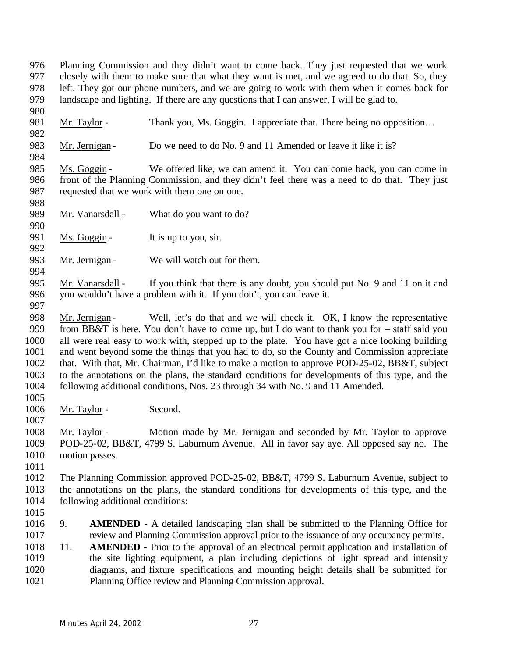Planning Commission and they didn't want to come back. They just requested that we work closely with them to make sure that what they want is met, and we agreed to do that. So, they left. They got our phone numbers, and we are going to work with them when it comes back for landscape and lighting. If there are any questions that I can answer, I will be glad to.

981 Mr. Taylor - Thank you, Ms. Goggin. I appreciate that. There being no opposition... 

983 Mr. Jernigan - Do we need to do No. 9 and 11 Amended or leave it like it is?

 Ms. Goggin - We offered like, we can amend it. You can come back, you can come in front of the Planning Commission, and they didn't feel there was a need to do that. They just requested that we work with them one on one.

989 Mr. Vanarsdall - What do you want to do?

991 Ms. Goggin - It is up to you, sir. 

993 Mr. Jernigan - We will watch out for them. 

995 Mr. Vanarsdall - If you think that there is any doubt, you should put No. 9 and 11 on it and you wouldn't have a problem with it. If you don't, you can leave it.

998 Mr. Jernigan - Well, let's do that and we will check it. OK, I know the representative 999 from BB&T is here. You don't have to come up, but I do want to thank you for – staff said you all were real easy to work with, stepped up to the plate. You have got a nice looking building and went beyond some the things that you had to do, so the County and Commission appreciate that. With that, Mr. Chairman, I'd like to make a motion to approve POD-25-02, BB&T, subject to the annotations on the plans, the standard conditions for developments of this type, and the following additional conditions, Nos. 23 through 34 with No. 9 and 11 Amended.

1006 Mr. Taylor - Second.

 Mr. Taylor - Motion made by Mr. Jernigan and seconded by Mr. Taylor to approve POD-25-02, BB&T, 4799 S. Laburnum Avenue. All in favor say aye. All opposed say no. The motion passes.

 The Planning Commission approved POD-25-02, BB&T, 4799 S. Laburnum Avenue, subject to 1013 the annotations on the plans, the standard conditions for developments of this type, and the 1014 following additional conditions: following additional conditions:

 9. **AMENDED** - A detailed landscaping plan shall be submitted to the Planning Office for review and Planning Commission approval prior to the issuance of any occupancy permits.

 11. **AMENDED** - Prior to the approval of an electrical permit application and installation of the site lighting equipment, a plan including depictions of light spread and intensity diagrams, and fixture specifications and mounting height details shall be submitted for Planning Office review and Planning Commission approval.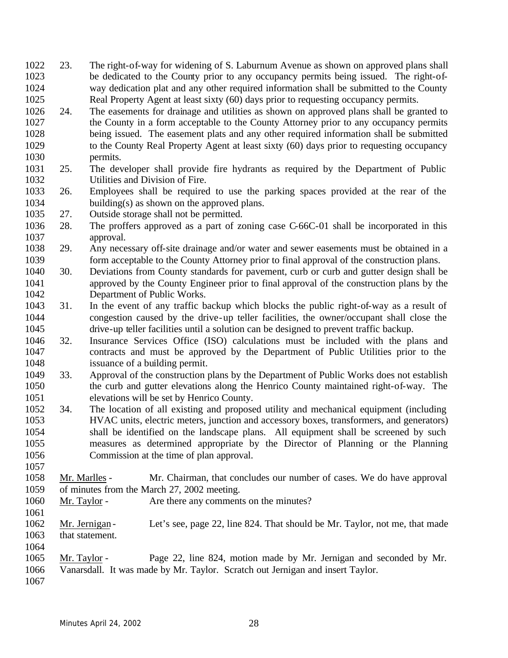- 23. The right-of-way for widening of S. Laburnum Avenue as shown on approved plans shall be dedicated to the County prior to any occupancy permits being issued. The right-of- way dedication plat and any other required information shall be submitted to the County Real Property Agent at least sixty (60) days prior to requesting occupancy permits.
- 24. The easements for drainage and utilities as shown on approved plans shall be granted to 1027 the County in a form acceptable to the County Attorney prior to any occupancy permits<br>1028 being issued. The easement plats and any other required information shall be submitted being issued. The easement plats and any other required information shall be submitted to the County Real Property Agent at least sixty (60) days prior to requesting occupancy permits.
- 25. The developer shall provide fire hydrants as required by the Department of Public Utilities and Division of Fire.
- 26. Employees shall be required to use the parking spaces provided at the rear of the building(s) as shown on the approved plans.
- 27. Outside storage shall not be permitted.
- 28. The proffers approved as a part of zoning case C-66C-01 shall be incorporated in this approval.
- 29. Any necessary off-site drainage and/or water and sewer easements must be obtained in a form acceptable to the County Attorney prior to final approval of the construction plans.
- 30. Deviations from County standards for pavement, curb or curb and gutter design shall be approved by the County Engineer prior to final approval of the construction plans by the Department of Public Works.
- 31. In the event of any traffic backup which blocks the public right-of-way as a result of congestion caused by the drive-up teller facilities, the owner/occupant shall close the drive-up teller facilities until a solution can be designed to prevent traffic backup.
- 32. Insurance Services Office (ISO) calculations must be included with the plans and contracts and must be approved by the Department of Public Utilities prior to the issuance of a building permit.
- 33. Approval of the construction plans by the Department of Public Works does not establish the curb and gutter elevations along the Henrico County maintained right-of-way. The elevations will be set by Henrico County.
- 34. The location of all existing and proposed utility and mechanical equipment (including HVAC units, electric meters, junction and accessory boxes, transformers, and generators) shall be identified on the landscape plans. All equipment shall be screened by such measures as determined appropriate by the Director of Planning or the Planning Commission at the time of plan approval.
- Mr. Marlles Mr. Chairman, that concludes our number of cases. We do have approval of minutes from the March 27, 2002 meeting.
- 1060 Mr. Taylor Are there any comments on the minutes?
- 1062 Mr. Jernigan Let's see, page 22, line 824. That should be Mr. Taylor, not me, that made that statement.
- Mr. Taylor Page 22, line 824, motion made by Mr. Jernigan and seconded by Mr.
- Vanarsdall. It was made by Mr. Taylor. Scratch out Jernigan and insert Taylor.
-